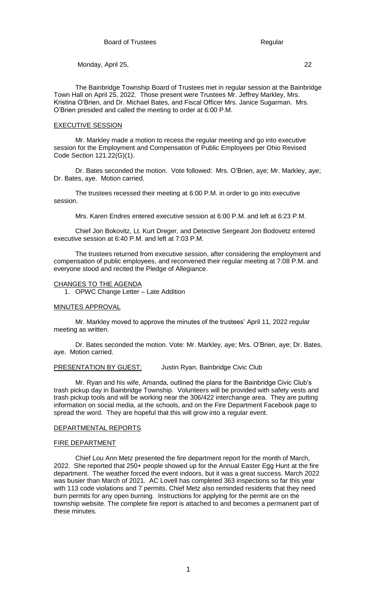The Bainbridge Township Board of Trustees met in regular session at the Bainbridge Town Hall on April 25, 2022. Those present were Trustees Mr. Jeffrey Markley, Mrs. Kristina O'Brien, and Dr. Michael Bates, and Fiscal Officer Mrs. Janice Sugarman. Mrs. O'Brien presided and called the meeting to order at 6:00 P.M.

## EXECUTIVE SESSION

Mr. Markley made a motion to recess the regular meeting and go into executive session for the Employment and Compensation of Public Employees per Ohio Revised Code Section 121.22(G)(1).

Dr. Bates seconded the motion. Vote followed: Mrs. O'Brien, aye; Mr. Markley, aye; Dr. Bates, aye. Motion carried.

The trustees recessed their meeting at 6:00 P.M. in order to go into executive session.

Mrs. Karen Endres entered executive session at 6:00 P.M. and left at 6:23 P.M.

Chief Jon Bokovitz, Lt. Kurt Dreger, and Detective Sergeant Jon Bodovetz entered executive session at 6:40 P.M. and left at 7:03 P.M.

The trustees returned from executive session, after considering the employment and compensation of public employees, and reconvened their regular meeting at 7:08 P.M. and everyone stood and recited the Pledge of Allegiance.

### CHANGES TO THE AGENDA

1. OPWC Change Letter – Late Addition

### MINUTES APPROVAL

Mr. Markley moved to approve the minutes of the trustees' April 11, 2022 regular meeting as written.

Dr. Bates seconded the motion. Vote: Mr. Markley, aye; Mrs. O'Brien, aye; Dr. Bates, aye. Motion carried.

## PRESENTATION BY GUEST: Justin Ryan, Bainbridge Civic Club

Mr. Ryan and his wife, Amanda, outlined the plans for the Bainbridge Civic Club's trash pickup day in Bainbridge Township. Volunteers will be provided with safety vests and trash pickup tools and will be working near the 306/422 interchange area. They are putting information on social media, at the schools, and on the Fire Department Facebook page to spread the word. They are hopeful that this will grow into a regular event.

# DEPARTMENTAL REPORTS

## FIRE DEPARTMENT

Chief Lou Ann Metz presented the fire department report for the month of March, 2022. She reported that 250+ people showed up for the Annual Easter Egg Hunt at the fire department. The weather forced the event indoors, but it was a great success. March 2022 was busier than March of 2021. AC Lovell has completed 363 inspections so far this year with 113 code violations and 7 permits. Chief Metz also reminded residents that they need burn permits for any open burning. Instructions for applying for the permit are on the township website. The complete fire report is attached to and becomes a permanent part of these minutes.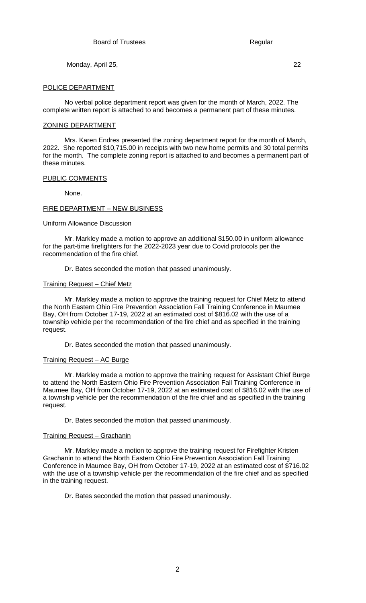## POLICE DEPARTMENT

No verbal police department report was given for the month of March, 2022. The complete written report is attached to and becomes a permanent part of these minutes.

### ZONING DEPARTMENT

Mrs. Karen Endres presented the zoning department report for the month of March, 2022. She reported \$10,715.00 in receipts with two new home permits and 30 total permits for the month. The complete zoning report is attached to and becomes a permanent part of these minutes.

## PUBLIC COMMENTS

None.

## FIRE DEPARTMENT – NEW BUSINESS

# Uniform Allowance Discussion

Mr. Markley made a motion to approve an additional \$150.00 in uniform allowance for the part-time firefighters for the 2022-2023 year due to Covid protocols per the recommendation of the fire chief.

Dr. Bates seconded the motion that passed unanimously.

## Training Request – Chief Metz

Mr. Markley made a motion to approve the training request for Chief Metz to attend the North Eastern Ohio Fire Prevention Association Fall Training Conference in Maumee Bay, OH from October 17-19, 2022 at an estimated cost of \$816.02 with the use of a township vehicle per the recommendation of the fire chief and as specified in the training request.

Dr. Bates seconded the motion that passed unanimously.

### Training Request – AC Burge

Mr. Markley made a motion to approve the training request for Assistant Chief Burge to attend the North Eastern Ohio Fire Prevention Association Fall Training Conference in Maumee Bay, OH from October 17-19, 2022 at an estimated cost of \$816.02 with the use of a township vehicle per the recommendation of the fire chief and as specified in the training request.

Dr. Bates seconded the motion that passed unanimously.

### Training Request – Grachanin

Mr. Markley made a motion to approve the training request for Firefighter Kristen Grachanin to attend the North Eastern Ohio Fire Prevention Association Fall Training Conference in Maumee Bay, OH from October 17-19, 2022 at an estimated cost of \$716.02 with the use of a township vehicle per the recommendation of the fire chief and as specified in the training request.

Dr. Bates seconded the motion that passed unanimously.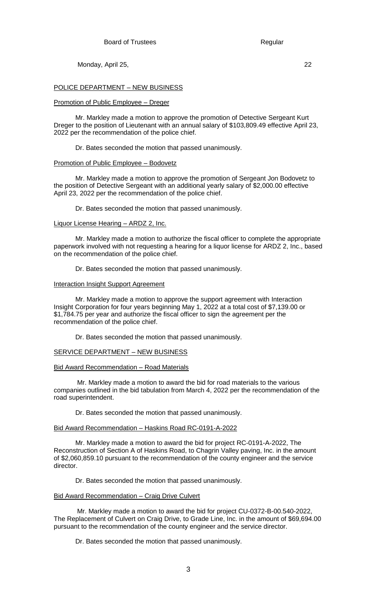## POLICE DEPARTMENT – NEW BUSINESS

### Promotion of Public Employee – Dreger

Mr. Markley made a motion to approve the promotion of Detective Sergeant Kurt Dreger to the position of Lieutenant with an annual salary of \$103,809.49 effective April 23, 2022 per the recommendation of the police chief.

Dr. Bates seconded the motion that passed unanimously.

### Promotion of Public Employee – Bodovetz

Mr. Markley made a motion to approve the promotion of Sergeant Jon Bodovetz to the position of Detective Sergeant with an additional yearly salary of \$2,000.00 effective April 23, 2022 per the recommendation of the police chief.

Dr. Bates seconded the motion that passed unanimously.

# Liquor License Hearing – ARDZ 2, Inc.

Mr. Markley made a motion to authorize the fiscal officer to complete the appropriate paperwork involved with not requesting a hearing for a liquor license for ARDZ 2, Inc., based on the recommendation of the police chief.

Dr. Bates seconded the motion that passed unanimously.

### Interaction Insight Support Agreement

Mr. Markley made a motion to approve the support agreement with Interaction Insight Corporation for four years beginning May 1, 2022 at a total cost of \$7,139.00 or \$1,784.75 per year and authorize the fiscal officer to sign the agreement per the recommendation of the police chief.

Dr. Bates seconded the motion that passed unanimously.

## SERVICE DEPARTMENT – NEW BUSINESS

#### Bid Award Recommendation – Road Materials

Mr. Markley made a motion to award the bid for road materials to the various companies outlined in the bid tabulation from March 4, 2022 per the recommendation of the road superintendent.

Dr. Bates seconded the motion that passed unanimously.

#### Bid Award Recommendation – Haskins Road RC-0191-A-2022

Mr. Markley made a motion to award the bid for project RC-0191-A-2022, The Reconstruction of Section A of Haskins Road, to Chagrin Valley paving, Inc. in the amount of \$2,060,859.10 pursuant to the recommendation of the county engineer and the service director.

Dr. Bates seconded the motion that passed unanimously.

## **Bid Award Recommendation - Craig Drive Culvert**

Mr. Markley made a motion to award the bid for project CU-0372-B-00.540-2022, The Replacement of Culvert on Craig Drive, to Grade Line, Inc. in the amount of \$69,694.00 pursuant to the recommendation of the county engineer and the service director.

Dr. Bates seconded the motion that passed unanimously.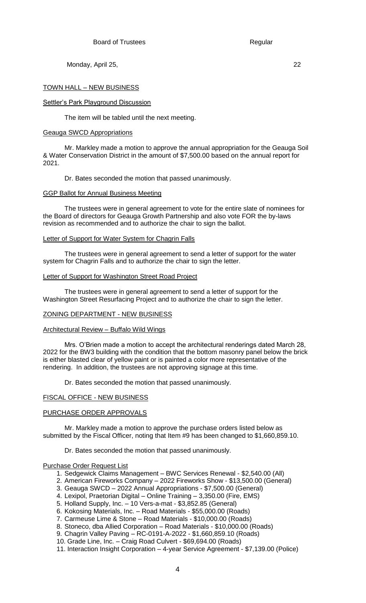# TOWN HALL – NEW BUSINESS

# Settler's Park Playground Discussion

The item will be tabled until the next meeting.

# Geauga SWCD Appropriations

Mr. Markley made a motion to approve the annual appropriation for the Geauga Soil & Water Conservation District in the amount of \$7,500.00 based on the annual report for 2021.

Dr. Bates seconded the motion that passed unanimously.

# GGP Ballot for Annual Business Meeting

The trustees were in general agreement to vote for the entire slate of nominees for the Board of directors for Geauga Growth Partnership and also vote FOR the by-laws revision as recommended and to authorize the chair to sign the ballot.

## Letter of Support for Water System for Chagrin Falls

The trustees were in general agreement to send a letter of support for the water system for Chagrin Falls and to authorize the chair to sign the letter.

## Letter of Support for Washington Street Road Project

The trustees were in general agreement to send a letter of support for the Washington Street Resurfacing Project and to authorize the chair to sign the letter.

# ZONING DEPARTMENT - NEW BUSINESS

# Architectural Review – Buffalo Wild Wings

Mrs. O'Brien made a motion to accept the architectural renderings dated March 28, 2022 for the BW3 building with the condition that the bottom masonry panel below the brick is either blasted clear of yellow paint or is painted a color more representative of the rendering. In addition, the trustees are not approving signage at this time.

Dr. Bates seconded the motion that passed unanimously.

# FISCAL OFFICE - NEW BUSINESS

# PURCHASE ORDER APPROVALS

Mr. Markley made a motion to approve the purchase orders listed below as submitted by the Fiscal Officer, noting that Item #9 has been changed to \$1,660,859.10.

# Dr. Bates seconded the motion that passed unanimously.

# Purchase Order Request List

- 1. Sedgewick Claims Management BWC Services Renewal \$2,540.00 (All)
- 2. American Fireworks Company 2022 Fireworks Show \$13,500.00 (General)
- 3. Geauga SWCD 2022 Annual Appropriations \$7,500.00 (General)
- 4. Lexipol, Praetorian Digital Online Training 3,350.00 (Fire, EMS)
- 5. Holland Supply, Inc. 10 Vers-a-mat \$3,852.85 (General)
- 6. Kokosing Materials, Inc. Road Materials \$55,000.00 (Roads)
- 7. Carmeuse Lime & Stone Road Materials \$10,000.00 (Roads)
- 8. Stoneco, dba Allied Corporation Road Materials \$10,000.00 (Roads)
- 9. Chagrin Valley Paving RC-0191-A-2022 \$1,660,859.10 (Roads)
- 10. Grade Line, Inc. Craig Road Culvert \$69,694.00 (Roads)
- 11. Interaction Insight Corporation 4-year Service Agreement \$7,139.00 (Police)

4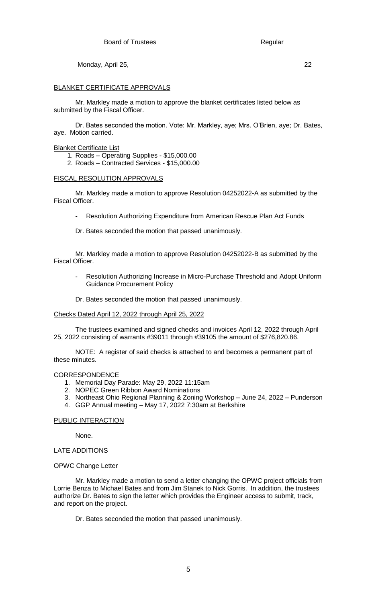# BLANKET CERTIFICATE APPROVALS

Mr. Markley made a motion to approve the blanket certificates listed below as submitted by the Fiscal Officer.

Dr. Bates seconded the motion. Vote: Mr. Markley, aye; Mrs. O'Brien, aye; Dr. Bates, aye. Motion carried.

# **Blanket Certificate List**

- 1. Roads Operating Supplies \$15,000.00
- 2. Roads Contracted Services \$15,000.00

# FISCAL RESOLUTION APPROVALS

Mr. Markley made a motion to approve Resolution 04252022-A as submitted by the Fiscal Officer.

- Resolution Authorizing Expenditure from American Rescue Plan Act Funds
- Dr. Bates seconded the motion that passed unanimously.

Mr. Markley made a motion to approve Resolution 04252022-B as submitted by the Fiscal Officer.

- Resolution Authorizing Increase in Micro-Purchase Threshold and Adopt Uniform Guidance Procurement Policy
- Dr. Bates seconded the motion that passed unanimously.

# Checks Dated April 12, 2022 through April 25, 2022

The trustees examined and signed checks and invoices April 12, 2022 through April 25, 2022 consisting of warrants #39011 through #39105 the amount of \$276,820.86.

NOTE: A register of said checks is attached to and becomes a permanent part of these minutes.

# CORRESPONDENCE

- 1. Memorial Day Parade: May 29, 2022 11:15am
- 2. NOPEC Green Ribbon Award Nominations
- 3. Northeast Ohio Regional Planning & Zoning Workshop June 24, 2022 Punderson
- 4. GGP Annual meeting May 17, 2022 7:30am at Berkshire

# PUBLIC INTERACTION

None.

# LATE ADDITIONS

# OPWC Change Letter

Mr. Markley made a motion to send a letter changing the OPWC project officials from Lorrie Benza to Michael Bates and from Jim Stanek to Nick Gorris. In addition, the trustees authorize Dr. Bates to sign the letter which provides the Engineer access to submit, track, and report on the project.

Dr. Bates seconded the motion that passed unanimously.